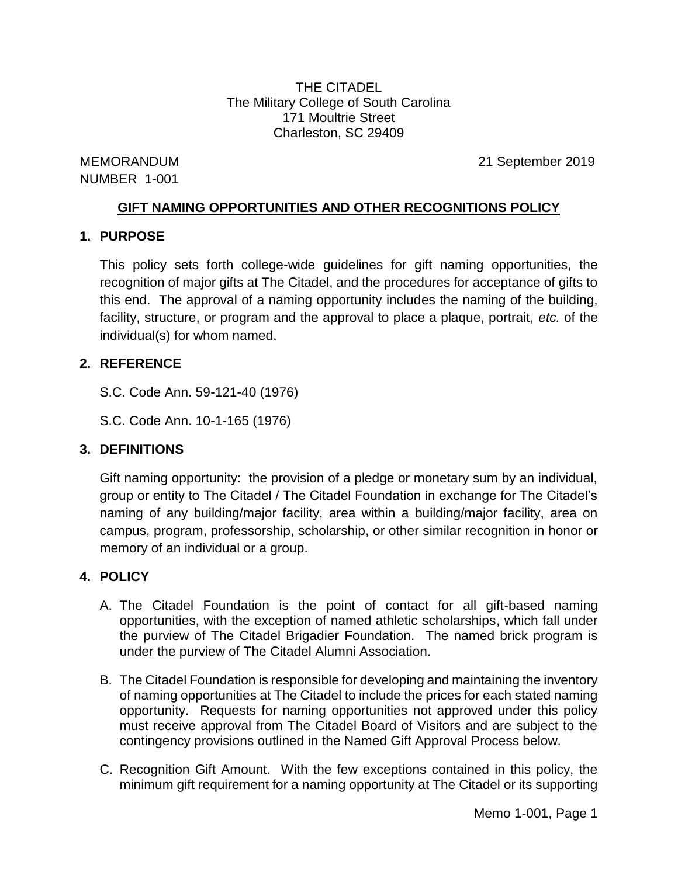THE CITADEL The Military College of South Carolina 171 Moultrie Street Charleston, SC 29409

NUMBER 1-001

MEMORANDUM 21 September 2019

# **GIFT NAMING OPPORTUNITIES AND OTHER RECOGNITIONS POLICY**

### **1. PURPOSE**

This policy sets forth college-wide guidelines for gift naming opportunities, the recognition of major gifts at The Citadel, and the procedures for acceptance of gifts to this end. The approval of a naming opportunity includes the naming of the building, facility, structure, or program and the approval to place a plaque, portrait, *etc.* of the individual(s) for whom named.

# **2. REFERENCE**

- S.C. Code Ann. 59-121-40 (1976)
- S.C. Code Ann. 10-1-165 (1976)

# **3. DEFINITIONS**

Gift naming opportunity: the provision of a pledge or monetary sum by an individual, group or entity to The Citadel / The Citadel Foundation in exchange for The Citadel's naming of any building/major facility, area within a building/major facility, area on campus, program, professorship, scholarship, or other similar recognition in honor or memory of an individual or a group.

# **4. POLICY**

- A. The Citadel Foundation is the point of contact for all gift-based naming opportunities, with the exception of named athletic scholarships, which fall under the purview of The Citadel Brigadier Foundation. The named brick program is under the purview of The Citadel Alumni Association.
- B. The Citadel Foundation is responsible for developing and maintaining the inventory of naming opportunities at The Citadel to include the prices for each stated naming opportunity. Requests for naming opportunities not approved under this policy must receive approval from The Citadel Board of Visitors and are subject to the contingency provisions outlined in the Named Gift Approval Process below.
- C. Recognition Gift Amount. With the few exceptions contained in this policy, the minimum gift requirement for a naming opportunity at The Citadel or its supporting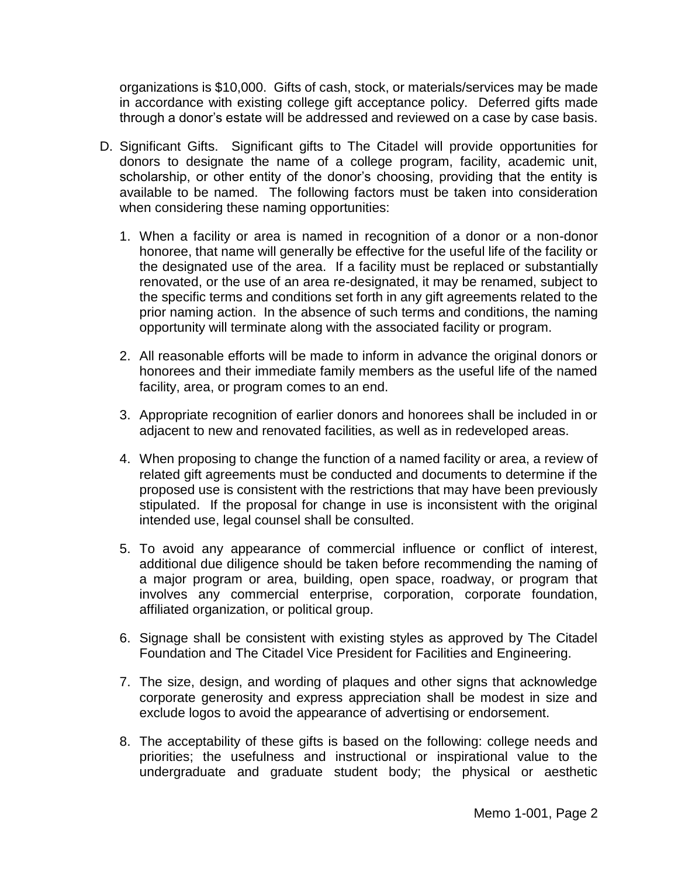organizations is \$10,000. Gifts of cash, stock, or materials/services may be made in accordance with existing college gift acceptance policy. Deferred gifts made through a donor's estate will be addressed and reviewed on a case by case basis.

- D. Significant Gifts. Significant gifts to The Citadel will provide opportunities for donors to designate the name of a college program, facility, academic unit, scholarship, or other entity of the donor's choosing, providing that the entity is available to be named. The following factors must be taken into consideration when considering these naming opportunities:
	- 1. When a facility or area is named in recognition of a donor or a non-donor honoree, that name will generally be effective for the useful life of the facility or the designated use of the area. If a facility must be replaced or substantially renovated, or the use of an area re-designated, it may be renamed, subject to the specific terms and conditions set forth in any gift agreements related to the prior naming action. In the absence of such terms and conditions, the naming opportunity will terminate along with the associated facility or program.
	- 2. All reasonable efforts will be made to inform in advance the original donors or honorees and their immediate family members as the useful life of the named facility, area, or program comes to an end.
	- 3. Appropriate recognition of earlier donors and honorees shall be included in or adjacent to new and renovated facilities, as well as in redeveloped areas.
	- 4. When proposing to change the function of a named facility or area, a review of related gift agreements must be conducted and documents to determine if the proposed use is consistent with the restrictions that may have been previously stipulated. If the proposal for change in use is inconsistent with the original intended use, legal counsel shall be consulted.
	- 5. To avoid any appearance of commercial influence or conflict of interest, additional due diligence should be taken before recommending the naming of a major program or area, building, open space, roadway, or program that involves any commercial enterprise, corporation, corporate foundation, affiliated organization, or political group.
	- 6. Signage shall be consistent with existing styles as approved by The Citadel Foundation and The Citadel Vice President for Facilities and Engineering.
	- 7. The size, design, and wording of plaques and other signs that acknowledge corporate generosity and express appreciation shall be modest in size and exclude logos to avoid the appearance of advertising or endorsement.
	- 8. The acceptability of these gifts is based on the following: college needs and priorities; the usefulness and instructional or inspirational value to the undergraduate and graduate student body; the physical or aesthetic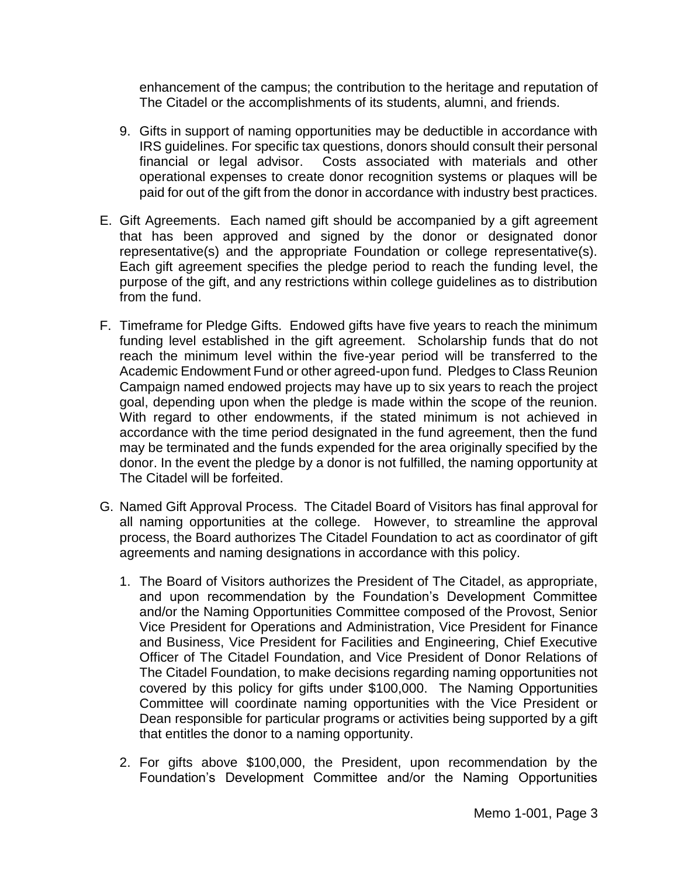enhancement of the campus; the contribution to the heritage and reputation of The Citadel or the accomplishments of its students, alumni, and friends.

- 9. Gifts in support of naming opportunities may be deductible in accordance with IRS guidelines. For specific tax questions, donors should consult their personal financial or legal advisor. Costs associated with materials and other operational expenses to create donor recognition systems or plaques will be paid for out of the gift from the donor in accordance with industry best practices.
- E. Gift Agreements. Each named gift should be accompanied by a gift agreement that has been approved and signed by the donor or designated donor representative(s) and the appropriate Foundation or college representative(s). Each gift agreement specifies the pledge period to reach the funding level, the purpose of the gift, and any restrictions within college guidelines as to distribution from the fund.
- F. Timeframe for Pledge Gifts. Endowed gifts have five years to reach the minimum funding level established in the gift agreement. Scholarship funds that do not reach the minimum level within the five-year period will be transferred to the Academic Endowment Fund or other agreed-upon fund. Pledges to Class Reunion Campaign named endowed projects may have up to six years to reach the project goal, depending upon when the pledge is made within the scope of the reunion. With regard to other endowments, if the stated minimum is not achieved in accordance with the time period designated in the fund agreement, then the fund may be terminated and the funds expended for the area originally specified by the donor. In the event the pledge by a donor is not fulfilled, the naming opportunity at The Citadel will be forfeited.
- G. Named Gift Approval Process. The Citadel Board of Visitors has final approval for all naming opportunities at the college. However, to streamline the approval process, the Board authorizes The Citadel Foundation to act as coordinator of gift agreements and naming designations in accordance with this policy.
	- 1. The Board of Visitors authorizes the President of The Citadel, as appropriate, and upon recommendation by the Foundation's Development Committee and/or the Naming Opportunities Committee composed of the Provost, Senior Vice President for Operations and Administration, Vice President for Finance and Business, Vice President for Facilities and Engineering, Chief Executive Officer of The Citadel Foundation, and Vice President of Donor Relations of The Citadel Foundation, to make decisions regarding naming opportunities not covered by this policy for gifts under \$100,000. The Naming Opportunities Committee will coordinate naming opportunities with the Vice President or Dean responsible for particular programs or activities being supported by a gift that entitles the donor to a naming opportunity.
	- 2. For gifts above \$100,000, the President, upon recommendation by the Foundation's Development Committee and/or the Naming Opportunities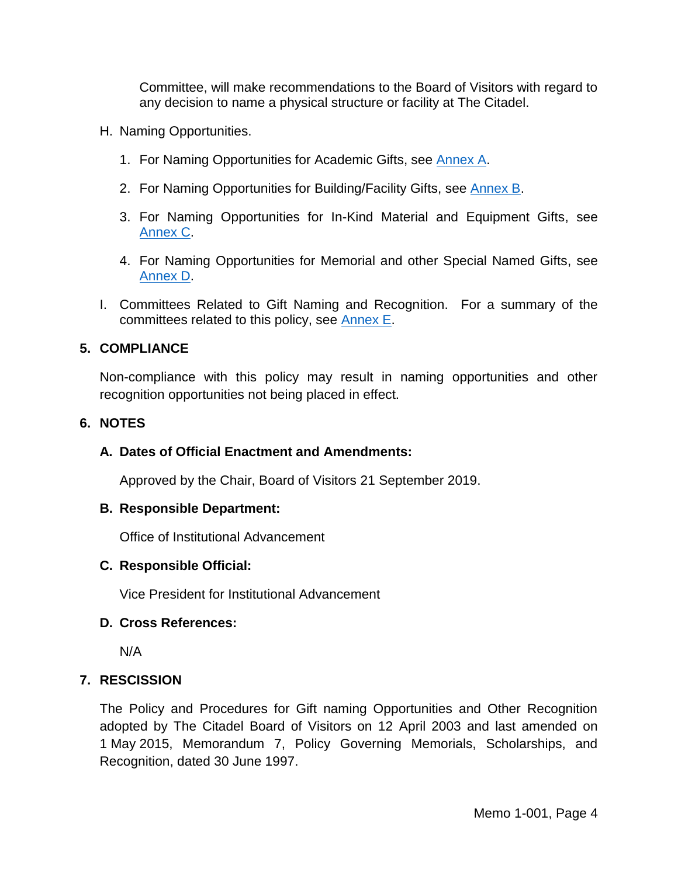Committee, will make recommendations to the Board of Visitors with regard to any decision to name a physical structure or facility at The Citadel.

- H. Naming Opportunities.
	- 1. For Naming Opportunities for Academic Gifts, see [Annex A.](#page-5-0)
	- 2. For Naming Opportunities for Building/Facility Gifts, see [Annex B.](#page-8-0)
	- 3. For Naming Opportunities for In-Kind Material and Equipment Gifts, see [Annex](#page-10-0) C.
	- 4. For Naming Opportunities for Memorial and other Special Named Gifts, see [Annex D.](#page-12-0)
- I. Committees Related to Gift Naming and Recognition. For a summary of the committees related to this policy, see [Annex E.](#page-13-0)

# **5. COMPLIANCE**

Non-compliance with this policy may result in naming opportunities and other recognition opportunities not being placed in effect.

### **6. NOTES**

# **A. Dates of Official Enactment and Amendments:**

Approved by the Chair, Board of Visitors 21 September 2019.

### **B. Responsible Department:**

Office of Institutional Advancement

### **C. Responsible Official:**

Vice President for Institutional Advancement

### **D. Cross References:**

N/A

# **7. RESCISSION**

The Policy and Procedures for Gift naming Opportunities and Other Recognition adopted by The Citadel Board of Visitors on 12 April 2003 and last amended on 1 May 2015, Memorandum 7, Policy Governing Memorials, Scholarships, and Recognition, dated 30 June 1997.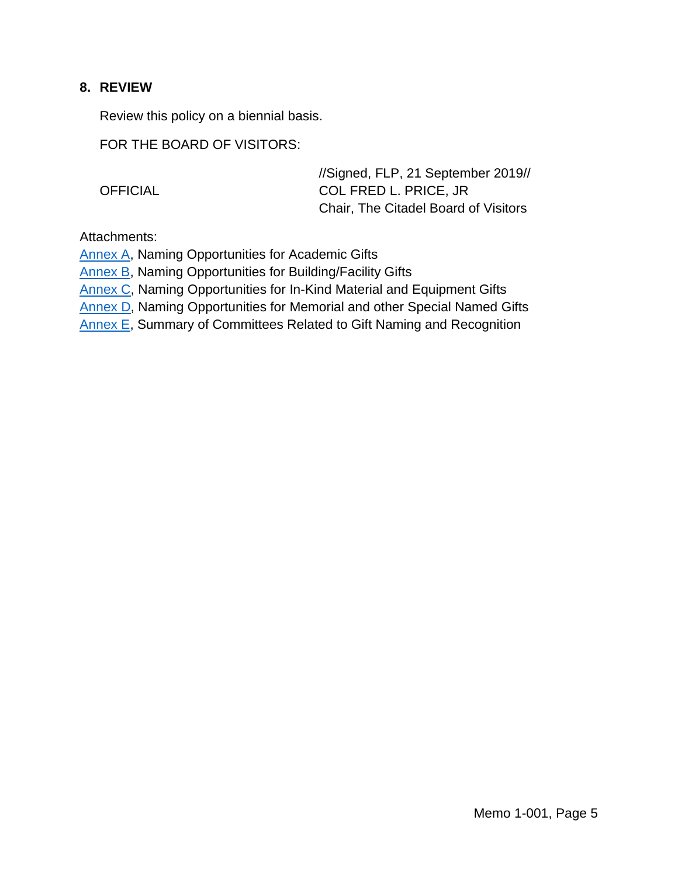### **8. REVIEW**

Review this policy on a biennial basis.

FOR THE BOARD OF VISITORS:

|                 | //Signed, FLP, 21 September 2019//          |
|-----------------|---------------------------------------------|
| <b>OFFICIAL</b> | COL FRED L. PRICE, JR                       |
|                 | <b>Chair, The Citadel Board of Visitors</b> |

Attachments:

[Annex A,](#page-5-0) Naming Opportunities for Academic Gifts

[Annex B,](#page-8-0) Naming Opportunities for Building/Facility Gifts

[Annex C,](#page-10-0) Naming Opportunities for In-Kind Material and Equipment Gifts

[Annex D,](#page-12-0) Naming Opportunities for Memorial and other Special Named Gifts

[Annex E,](#page-13-0) Summary of Committees Related to Gift Naming and Recognition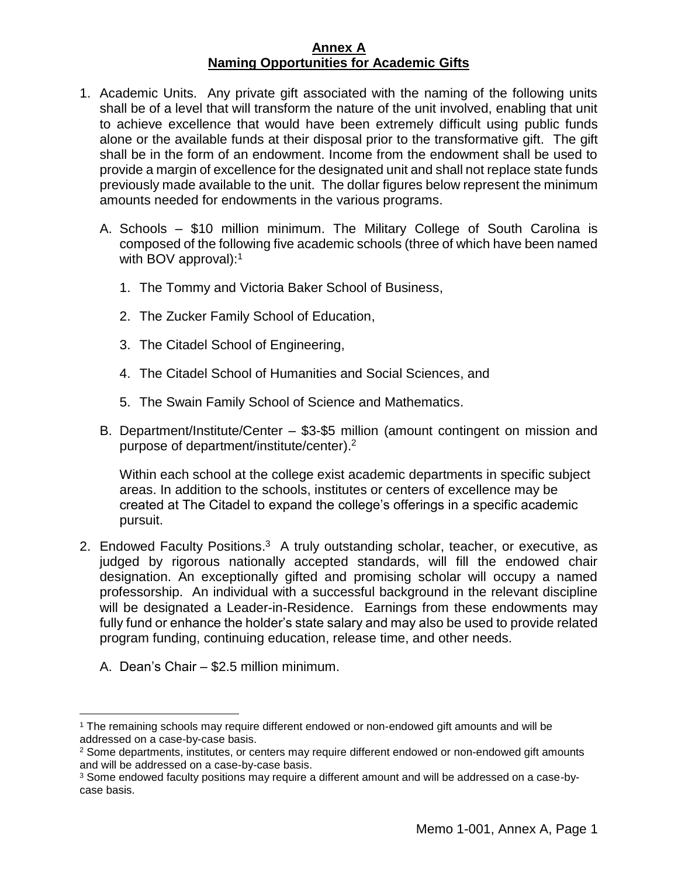### **Annex A Naming Opportunities for Academic Gifts**

- <span id="page-5-0"></span>1. Academic Units.Any private gift associated with the naming of the following units shall be of a level that will transform the nature of the unit involved, enabling that unit to achieve excellence that would have been extremely difficult using public funds alone or the available funds at their disposal prior to the transformative gift. The gift shall be in the form of an endowment. Income from the endowment shall be used to provide a margin of excellence for the designated unit and shall not replace state funds previously made available to the unit. The dollar figures below represent the minimum amounts needed for endowments in the various programs.
	- A. Schools \$10 million minimum. The Military College of South Carolina is composed of the following five academic schools (three of which have been named with BOV approval):<sup>1</sup>
		- 1. The Tommy and Victoria Baker School of Business,
		- 2. The Zucker Family School of Education,
		- 3. The Citadel School of Engineering,
		- 4. The Citadel School of Humanities and Social Sciences, and
		- 5. The Swain Family School of Science and Mathematics.
	- B. Department/Institute/Center \$3-\$5 million (amount contingent on mission and purpose of department/institute/center). 2

Within each school at the college exist academic departments in specific subject areas. In addition to the schools, institutes or centers of excellence may be created at The Citadel to expand the college's offerings in a specific academic pursuit.

- 2. Endowed Faculty Positions.<sup>3</sup> A truly outstanding scholar, teacher, or executive, as judged by rigorous nationally accepted standards, will fill the endowed chair designation. An exceptionally gifted and promising scholar will occupy a named professorship. An individual with a successful background in the relevant discipline will be designated a Leader-in-Residence. Earnings from these endowments may fully fund or enhance the holder's state salary and may also be used to provide related program funding, continuing education, release time, and other needs.
	- A. Dean's Chair \$2.5 million minimum.

 $\overline{a}$ 

<sup>1</sup> The remaining schools may require different endowed or non-endowed gift amounts and will be addressed on a case-by-case basis.

<sup>&</sup>lt;sup>2</sup> Some departments, institutes, or centers may require different endowed or non-endowed gift amounts and will be addressed on a case-by-case basis.

<sup>3</sup> Some endowed faculty positions may require a different amount and will be addressed on a case-bycase basis.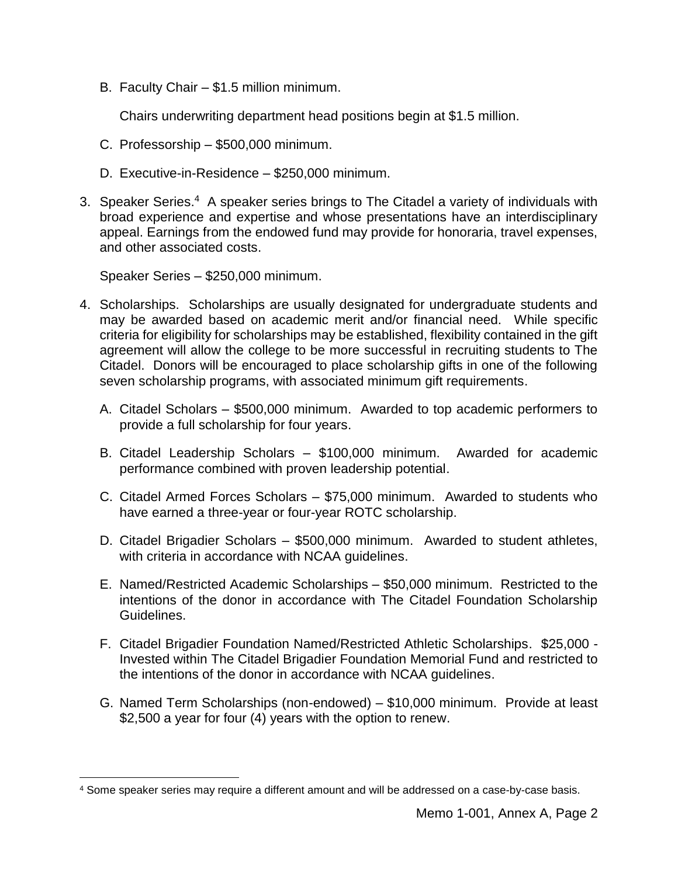B. Faculty Chair – \$1.5 million minimum.

Chairs underwriting department head positions begin at \$1.5 million.

- C. Professorship \$500,000 minimum.
- D. Executive-in-Residence \$250,000 minimum.
- 3. Speaker Series.<sup>4</sup> A speaker series brings to The Citadel a variety of individuals with broad experience and expertise and whose presentations have an interdisciplinary appeal. Earnings from the endowed fund may provide for honoraria, travel expenses, and other associated costs.

Speaker Series – \$250,000 minimum.

 $\overline{a}$ 

- 4. Scholarships. Scholarships are usually designated for undergraduate students and may be awarded based on academic merit and/or financial need. While specific criteria for eligibility for scholarships may be established, flexibility contained in the gift agreement will allow the college to be more successful in recruiting students to The Citadel. Donors will be encouraged to place scholarship gifts in one of the following seven scholarship programs, with associated minimum gift requirements.
	- A. Citadel Scholars \$500,000 minimum. Awarded to top academic performers to provide a full scholarship for four years.
	- B. Citadel Leadership Scholars \$100,000 minimum. Awarded for academic performance combined with proven leadership potential.
	- C. Citadel Armed Forces Scholars \$75,000 minimum. Awarded to students who have earned a three-year or four-year ROTC scholarship.
	- D. Citadel Brigadier Scholars \$500,000 minimum. Awarded to student athletes, with criteria in accordance with NCAA guidelines.
	- E. Named/Restricted Academic Scholarships \$50,000 minimum. Restricted to the intentions of the donor in accordance with The Citadel Foundation Scholarship Guidelines.
	- F. Citadel Brigadier Foundation Named/Restricted Athletic Scholarships. \$25,000 Invested within The Citadel Brigadier Foundation Memorial Fund and restricted to the intentions of the donor in accordance with NCAA guidelines.
	- G. Named Term Scholarships (non-endowed) \$10,000 minimum. Provide at least \$2,500 a year for four (4) years with the option to renew.

<sup>4</sup> Some speaker series may require a different amount and will be addressed on a case-by-case basis.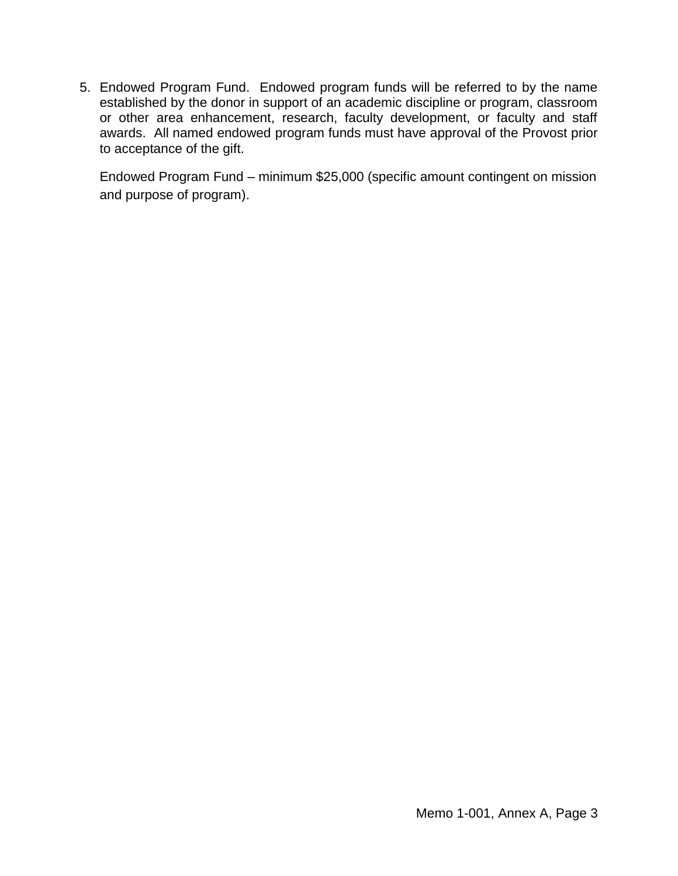5. Endowed Program Fund. Endowed program funds will be referred to by the name established by the donor in support of an academic discipline or program, classroom or other area enhancement, research, faculty development, or faculty and staff awards. All named endowed program funds must have approval of the Provost prior to acceptance of the gift.

Endowed Program Fund – minimum \$25,000 (specific amount contingent on mission and purpose of program).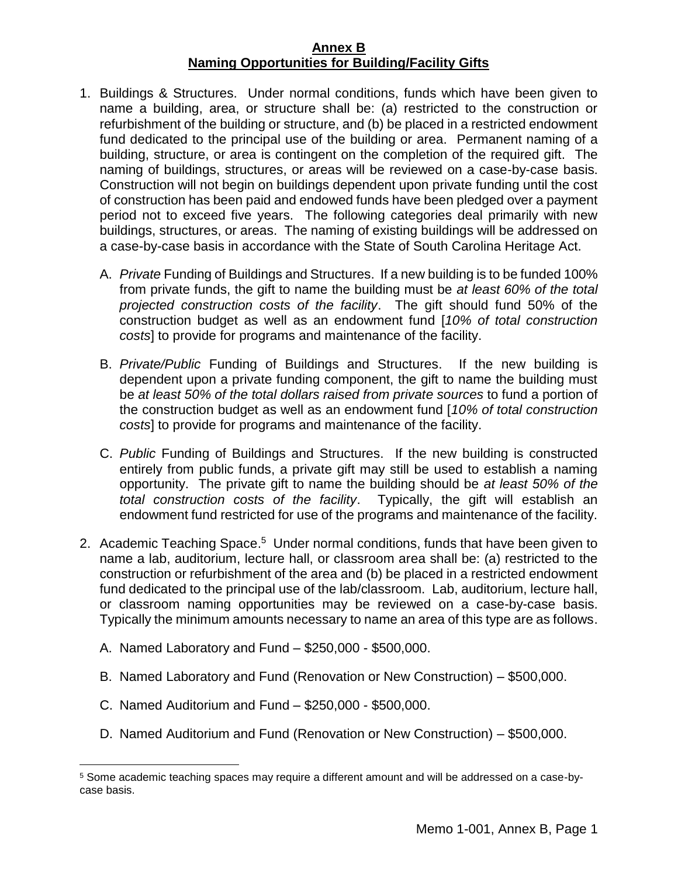#### **Annex B Naming Opportunities for Building/Facility Gifts**

- <span id="page-8-0"></span>1. Buildings & Structures. Under normal conditions, funds which have been given to name a building, area, or structure shall be: (a) restricted to the construction or refurbishment of the building or structure, and (b) be placed in a restricted endowment fund dedicated to the principal use of the building or area. Permanent naming of a building, structure, or area is contingent on the completion of the required gift. The naming of buildings, structures, or areas will be reviewed on a case-by-case basis. Construction will not begin on buildings dependent upon private funding until the cost of construction has been paid and endowed funds have been pledged over a payment period not to exceed five years. The following categories deal primarily with new buildings, structures, or areas. The naming of existing buildings will be addressed on a case-by-case basis in accordance with the State of South Carolina Heritage Act.
	- A. *Private* Funding of Buildings and Structures. If a new building is to be funded 100% from private funds, the gift to name the building must be *at least 60% of the total projected construction costs of the facility*. The gift should fund 50% of the construction budget as well as an endowment fund [*10% of total construction costs*] to provide for programs and maintenance of the facility.
	- B. *Private/Public* Funding of Buildings and Structures. If the new building is dependent upon a private funding component, the gift to name the building must be *at least 50% of the total dollars raised from private sources* to fund a portion of the construction budget as well as an endowment fund [*10% of total construction costs*] to provide for programs and maintenance of the facility.
	- C. *Public* Funding of Buildings and Structures. If the new building is constructed entirely from public funds, a private gift may still be used to establish a naming opportunity. The private gift to name the building should be *at least 50% of the total construction costs of the facility*. Typically, the gift will establish an endowment fund restricted for use of the programs and maintenance of the facility.
- 2. Academic Teaching Space.<sup>5</sup> Under normal conditions, funds that have been given to name a lab, auditorium, lecture hall, or classroom area shall be: (a) restricted to the construction or refurbishment of the area and (b) be placed in a restricted endowment fund dedicated to the principal use of the lab/classroom. Lab, auditorium, lecture hall, or classroom naming opportunities may be reviewed on a case-by-case basis. Typically the minimum amounts necessary to name an area of this type are as follows.
	- A. Named Laboratory and Fund \$250,000 \$500,000.
	- B. Named Laboratory and Fund (Renovation or New Construction) \$500,000.
	- C. Named Auditorium and Fund \$250,000 \$500,000.

 $\overline{a}$ 

D. Named Auditorium and Fund (Renovation or New Construction) – \$500,000.

<sup>5</sup> Some academic teaching spaces may require a different amount and will be addressed on a case-bycase basis.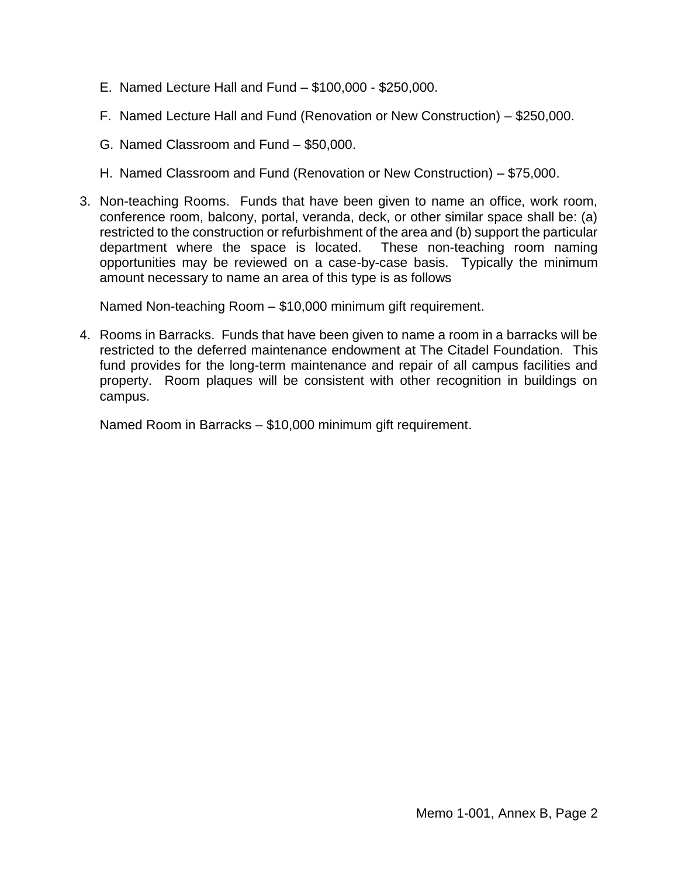- E. Named Lecture Hall and Fund \$100,000 \$250,000.
- F. Named Lecture Hall and Fund (Renovation or New Construction) \$250,000.
- G. Named Classroom and Fund \$50,000.
- H. Named Classroom and Fund (Renovation or New Construction) \$75,000.
- 3. Non-teaching Rooms. Funds that have been given to name an office, work room, conference room, balcony, portal, veranda, deck, or other similar space shall be: (a) restricted to the construction or refurbishment of the area and (b) support the particular department where the space is located. These non-teaching room naming opportunities may be reviewed on a case-by-case basis. Typically the minimum amount necessary to name an area of this type is as follows

Named Non-teaching Room – \$10,000 minimum gift requirement.

4. Rooms in Barracks. Funds that have been given to name a room in a barracks will be restricted to the deferred maintenance endowment at The Citadel Foundation. This fund provides for the long-term maintenance and repair of all campus facilities and property. Room plaques will be consistent with other recognition in buildings on campus.

Named Room in Barracks – \$10,000 minimum gift requirement.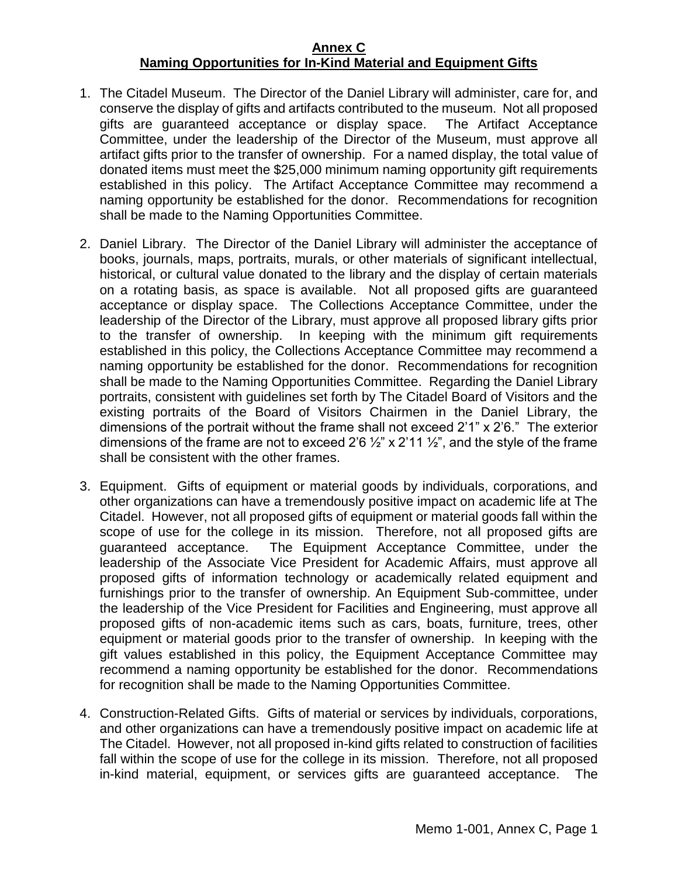#### **Annex C Naming Opportunities for In-Kind Material and Equipment Gifts**

- <span id="page-10-0"></span>1. The Citadel Museum. The Director of the Daniel Library will administer, care for, and conserve the display of gifts and artifacts contributed to the museum. Not all proposed gifts are guaranteed acceptance or display space. The Artifact Acceptance Committee, under the leadership of the Director of the Museum, must approve all artifact gifts prior to the transfer of ownership. For a named display, the total value of donated items must meet the \$25,000 minimum naming opportunity gift requirements established in this policy. The Artifact Acceptance Committee may recommend a naming opportunity be established for the donor. Recommendations for recognition shall be made to the Naming Opportunities Committee.
- 2. Daniel Library. The Director of the Daniel Library will administer the acceptance of books, journals, maps, portraits, murals, or other materials of significant intellectual, historical, or cultural value donated to the library and the display of certain materials on a rotating basis, as space is available. Not all proposed gifts are guaranteed acceptance or display space. The Collections Acceptance Committee, under the leadership of the Director of the Library, must approve all proposed library gifts prior to the transfer of ownership. In keeping with the minimum gift requirements established in this policy, the Collections Acceptance Committee may recommend a naming opportunity be established for the donor. Recommendations for recognition shall be made to the Naming Opportunities Committee. Regarding the Daniel Library portraits, consistent with guidelines set forth by The Citadel Board of Visitors and the existing portraits of the Board of Visitors Chairmen in the Daniel Library, the dimensions of the portrait without the frame shall not exceed 2'1" x 2'6." The exterior dimensions of the frame are not to exceed 2'6  $\frac{1}{2}$ " x 2'11  $\frac{1}{2}$ ", and the style of the frame shall be consistent with the other frames.
- 3. Equipment. Gifts of equipment or material goods by individuals, corporations, and other organizations can have a tremendously positive impact on academic life at The Citadel. However, not all proposed gifts of equipment or material goods fall within the scope of use for the college in its mission. Therefore, not all proposed gifts are guaranteed acceptance. The Equipment Acceptance Committee, under the leadership of the Associate Vice President for Academic Affairs, must approve all proposed gifts of information technology or academically related equipment and furnishings prior to the transfer of ownership. An Equipment Sub-committee, under the leadership of the Vice President for Facilities and Engineering, must approve all proposed gifts of non-academic items such as cars, boats, furniture, trees, other equipment or material goods prior to the transfer of ownership. In keeping with the gift values established in this policy, the Equipment Acceptance Committee may recommend a naming opportunity be established for the donor. Recommendations for recognition shall be made to the Naming Opportunities Committee.
- 4. Construction-Related Gifts. Gifts of material or services by individuals, corporations, and other organizations can have a tremendously positive impact on academic life at The Citadel. However, not all proposed in-kind gifts related to construction of facilities fall within the scope of use for the college in its mission. Therefore, not all proposed in-kind material, equipment, or services gifts are guaranteed acceptance. The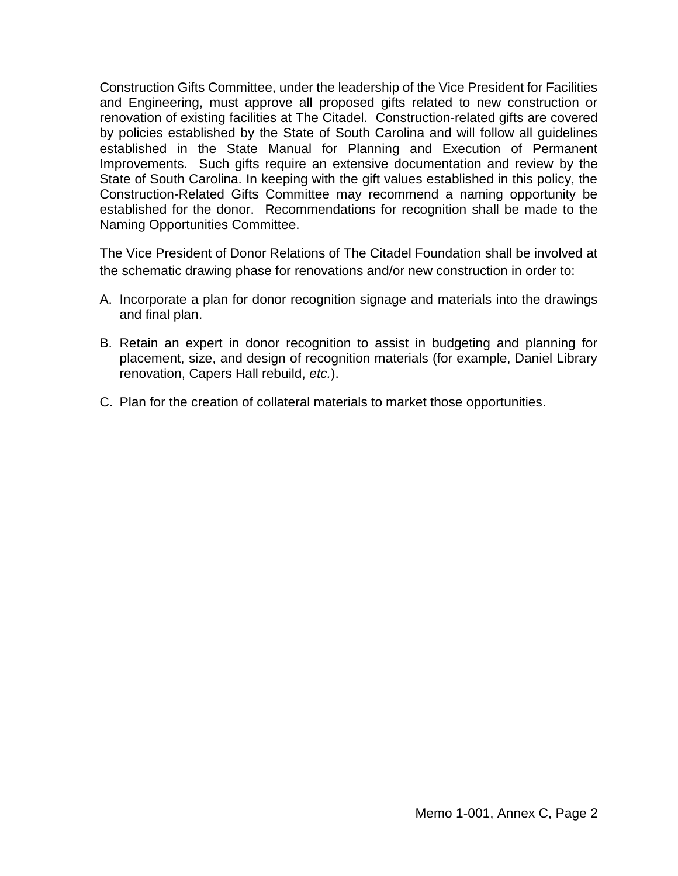Construction Gifts Committee, under the leadership of the Vice President for Facilities and Engineering, must approve all proposed gifts related to new construction or renovation of existing facilities at The Citadel. Construction-related gifts are covered by policies established by the State of South Carolina and will follow all guidelines established in the State Manual for Planning and Execution of Permanent Improvements. Such gifts require an extensive documentation and review by the State of South Carolina. In keeping with the gift values established in this policy, the Construction-Related Gifts Committee may recommend a naming opportunity be established for the donor. Recommendations for recognition shall be made to the Naming Opportunities Committee.

The Vice President of Donor Relations of The Citadel Foundation shall be involved at the schematic drawing phase for renovations and/or new construction in order to:

- A. Incorporate a plan for donor recognition signage and materials into the drawings and final plan.
- B. Retain an expert in donor recognition to assist in budgeting and planning for placement, size, and design of recognition materials (for example, Daniel Library renovation, Capers Hall rebuild, *etc.*).
- C. Plan for the creation of collateral materials to market those opportunities.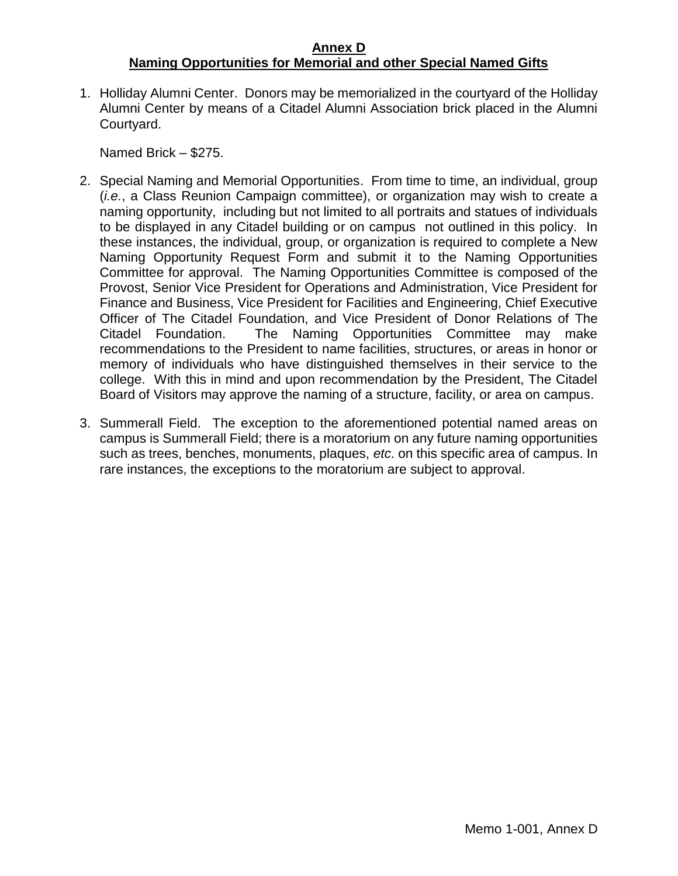### **Annex D Naming Opportunities for Memorial and other Special Named Gifts**

<span id="page-12-0"></span>1. Holliday Alumni Center. Donors may be memorialized in the courtyard of the Holliday Alumni Center by means of a Citadel Alumni Association brick placed in the Alumni Courtyard.

Named Brick – \$275.

- 2. Special Naming and Memorial Opportunities. From time to time, an individual, group (*i.e.*, a Class Reunion Campaign committee), or organization may wish to create a naming opportunity, including but not limited to all portraits and statues of individuals to be displayed in any Citadel building or on campus not outlined in this policy. In these instances, the individual, group, or organization is required to complete a New Naming Opportunity Request Form and submit it to the Naming Opportunities Committee for approval. The Naming Opportunities Committee is composed of the Provost, Senior Vice President for Operations and Administration, Vice President for Finance and Business, Vice President for Facilities and Engineering, Chief Executive Officer of The Citadel Foundation, and Vice President of Donor Relations of The Citadel Foundation. The Naming Opportunities Committee may make recommendations to the President to name facilities, structures, or areas in honor or memory of individuals who have distinguished themselves in their service to the college. With this in mind and upon recommendation by the President, The Citadel Board of Visitors may approve the naming of a structure, facility, or area on campus.
- 3. Summerall Field. The exception to the aforementioned potential named areas on campus is Summerall Field; there is a moratorium on any future naming opportunities such as trees, benches, monuments, plaques, *etc*. on this specific area of campus. In rare instances, the exceptions to the moratorium are subject to approval.